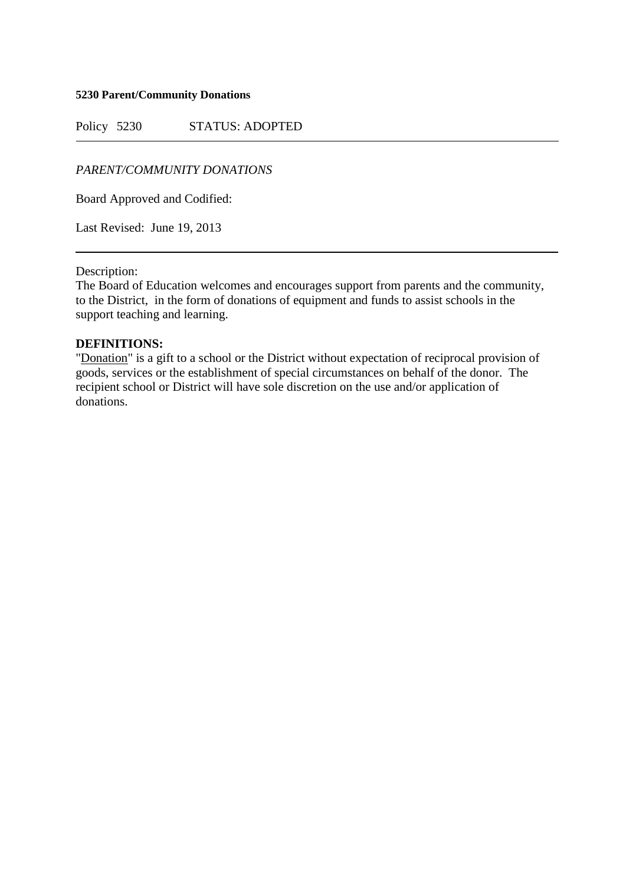#### **5230 Parent/Community Donations**

Policy 5230 STATUS: ADOPTED

## *PARENT/COMMUNITY DONATIONS*

Board Approved and Codified:

Last Revised: June 19, 2013

### Description:

The Board of Education welcomes and encourages support from parents and the community, to the District, in the form of donations of equipment and funds to assist schools in the support teaching and learning.

### **DEFINITIONS:**

"Donation" is a gift to a school or the District without expectation of reciprocal provision of goods, services or the establishment of special circumstances on behalf of the donor. The recipient school or District will have sole discretion on the use and/or application of donations.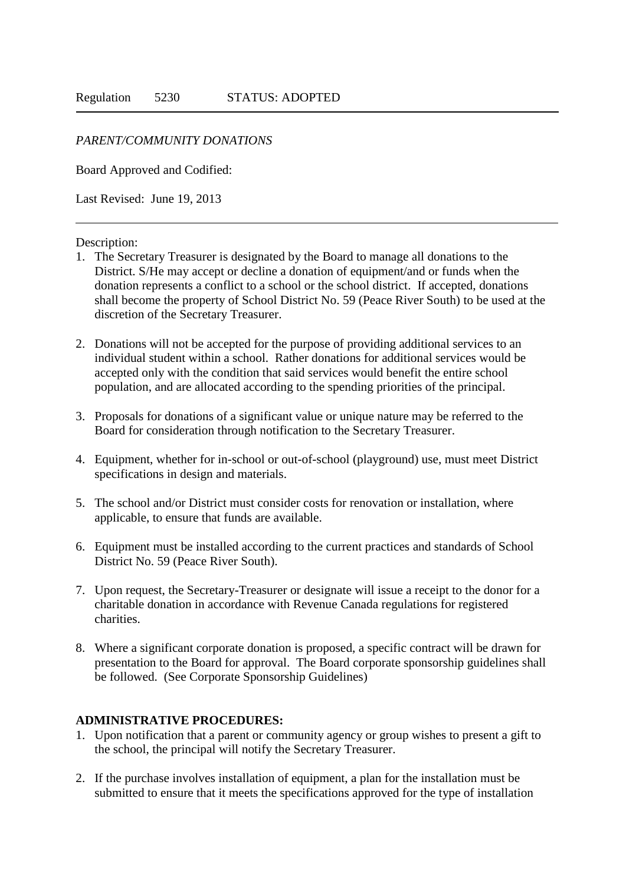## *PARENT/COMMUNITY DONATIONS*

Board Approved and Codified:

Last Revised: June 19, 2013

Description:

- 1. The Secretary Treasurer is designated by the Board to manage all donations to the District. S/He may accept or decline a donation of equipment/and or funds when the donation represents a conflict to a school or the school district. If accepted, donations shall become the property of School District No. 59 (Peace River South) to be used at the discretion of the Secretary Treasurer.
- 2. Donations will not be accepted for the purpose of providing additional services to an individual student within a school. Rather donations for additional services would be accepted only with the condition that said services would benefit the entire school population, and are allocated according to the spending priorities of the principal.
- 3. Proposals for donations of a significant value or unique nature may be referred to the Board for consideration through notification to the Secretary Treasurer.
- 4. Equipment, whether for in-school or out-of-school (playground) use, must meet District specifications in design and materials.
- 5. The school and/or District must consider costs for renovation or installation, where applicable, to ensure that funds are available.
- 6. Equipment must be installed according to the current practices and standards of School District No. 59 (Peace River South).
- 7. Upon request, the Secretary-Treasurer or designate will issue a receipt to the donor for a charitable donation in accordance with Revenue Canada regulations for registered charities.
- 8. Where a significant corporate donation is proposed, a specific contract will be drawn for presentation to the Board for approval. The Board corporate sponsorship guidelines shall be followed. (See Corporate Sponsorship Guidelines)

## **ADMINISTRATIVE PROCEDURES:**

- 1. Upon notification that a parent or community agency or group wishes to present a gift to the school, the principal will notify the Secretary Treasurer.
- 2. If the purchase involves installation of equipment, a plan for the installation must be submitted to ensure that it meets the specifications approved for the type of installation